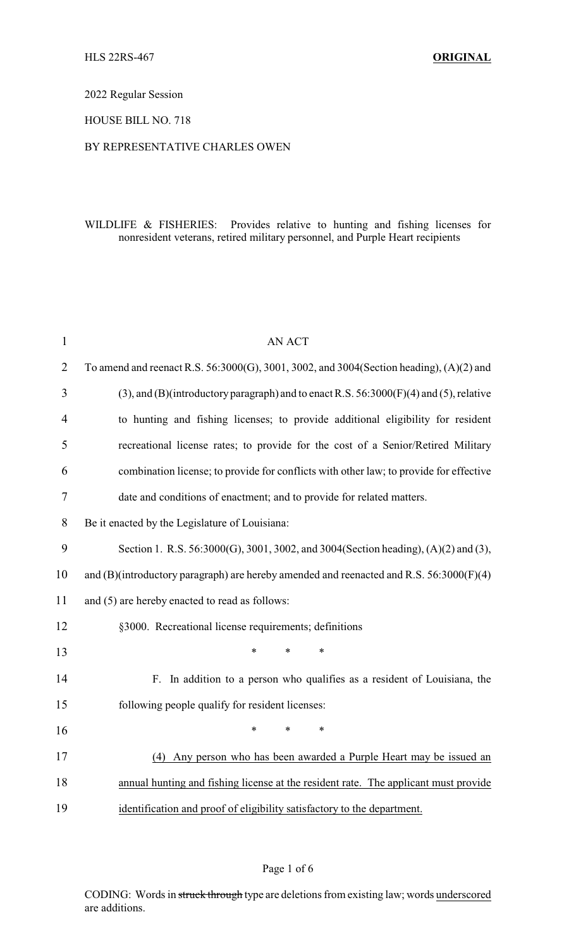#### 2022 Regular Session

### HOUSE BILL NO. 718

#### BY REPRESENTATIVE CHARLES OWEN

## WILDLIFE & FISHERIES: Provides relative to hunting and fishing licenses for nonresident veterans, retired military personnel, and Purple Heart recipients

| $\mathbf{1}$   | <b>AN ACT</b>                                                                                |  |  |
|----------------|----------------------------------------------------------------------------------------------|--|--|
| $\overline{2}$ | To amend and reenact R.S. 56:3000(G), 3001, 3002, and 3004(Section heading), (A)(2) and      |  |  |
| 3              | $(3)$ , and $(B)$ (introductory paragraph) and to enact R.S. 56:3000(F)(4) and (5), relative |  |  |
| $\overline{4}$ | to hunting and fishing licenses; to provide additional eligibility for resident              |  |  |
| 5              | recreational license rates; to provide for the cost of a Senior/Retired Military             |  |  |
| 6              | combination license; to provide for conflicts with other law; to provide for effective       |  |  |
| 7              | date and conditions of enactment; and to provide for related matters.                        |  |  |
| 8              | Be it enacted by the Legislature of Louisiana:                                               |  |  |
| 9              | Section 1. R.S. 56:3000(G), 3001, 3002, and 3004(Section heading), (A)(2) and (3),           |  |  |
| 10             | and (B)(introductory paragraph) are hereby amended and reenacted and R.S. 56:3000(F)(4)      |  |  |
| 11             | and (5) are hereby enacted to read as follows:                                               |  |  |
| 12             | §3000. Recreational license requirements; definitions                                        |  |  |
| 13             | $\ast$<br>*                                                                                  |  |  |
| 14             | F. In addition to a person who qualifies as a resident of Louisiana, the                     |  |  |
| 15             | following people qualify for resident licenses:                                              |  |  |
| 16             | $\ast$<br>*                                                                                  |  |  |
| 17             | (4) Any person who has been awarded a Purple Heart may be issued an                          |  |  |
| 18             | annual hunting and fishing license at the resident rate. The applicant must provide          |  |  |
| 19             | identification and proof of eligibility satisfactory to the department.                      |  |  |

### Page 1 of 6

CODING: Words in struck through type are deletions from existing law; words underscored are additions.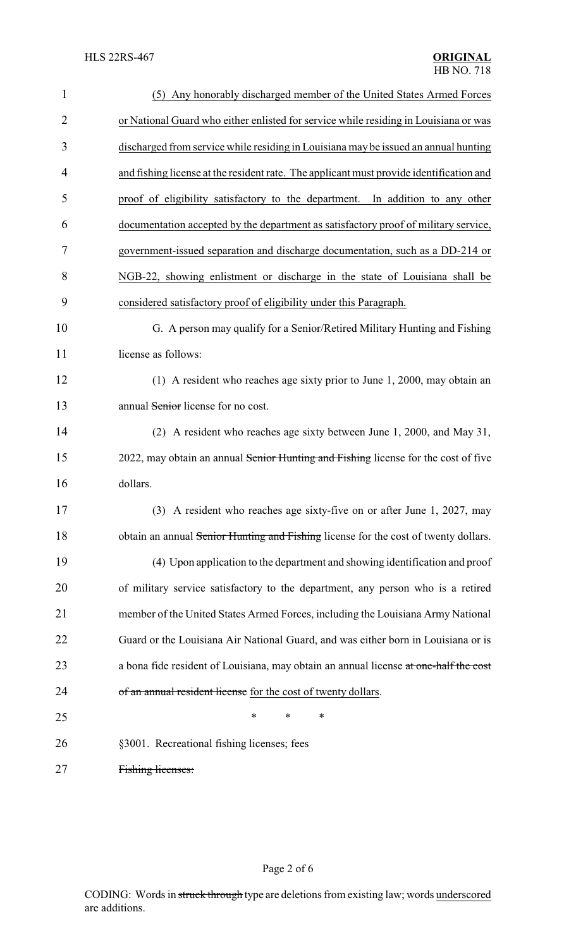| $\mathbf{1}$   | (5) Any honorably discharged member of the United States Armed Forces                   |
|----------------|-----------------------------------------------------------------------------------------|
| $\overline{2}$ | or National Guard who either enlisted for service while residing in Louisiana or was    |
| 3              | discharged from service while residing in Louisiana may be issued an annual hunting     |
| $\overline{4}$ | and fishing license at the resident rate. The applicant must provide identification and |
| 5              | proof of eligibility satisfactory to the department. In addition to any other           |
| 6              | documentation accepted by the department as satisfactory proof of military service,     |
| 7              | government-issued separation and discharge documentation, such as a DD-214 or           |
| 8              | NGB-22, showing enlistment or discharge in the state of Louisiana shall be              |
| 9              | considered satisfactory proof of eligibility under this Paragraph.                      |
| 10             | G. A person may qualify for a Senior/Retired Military Hunting and Fishing               |
| 11             | license as follows:                                                                     |
| 12             | (1) A resident who reaches age sixty prior to June 1, 2000, may obtain an               |
| 13             | annual Senior license for no cost.                                                      |
| 14             | (2) A resident who reaches age sixty between June 1, 2000, and May 31,                  |
| 15             | 2022, may obtain an annual Senior Hunting and Fishing license for the cost of five      |
| 16             | dollars.                                                                                |
| 17             | (3) A resident who reaches age sixty-five on or after June 1, 2027, may                 |
| 18             | obtain an annual Senior Hunting and Fishing license for the cost of twenty dollars.     |
| 19             | (4) Upon application to the department and showing identification and proof             |
| 20             | of military service satisfactory to the department, any person who is a retired         |
| 21             | member of the United States Armed Forces, including the Louisiana Army National         |
| 22             | Guard or the Louisiana Air National Guard, and was either born in Louisiana or is       |
| 23             | a bona fide resident of Louisiana, may obtain an annual license at one-half the cost    |
| 24             | of an annual resident license for the cost of twenty dollars.                           |
| 25             | *<br>∗<br>*                                                                             |
| 26             | §3001. Recreational fishing licenses; fees                                              |
|                |                                                                                         |

Fishing licenses: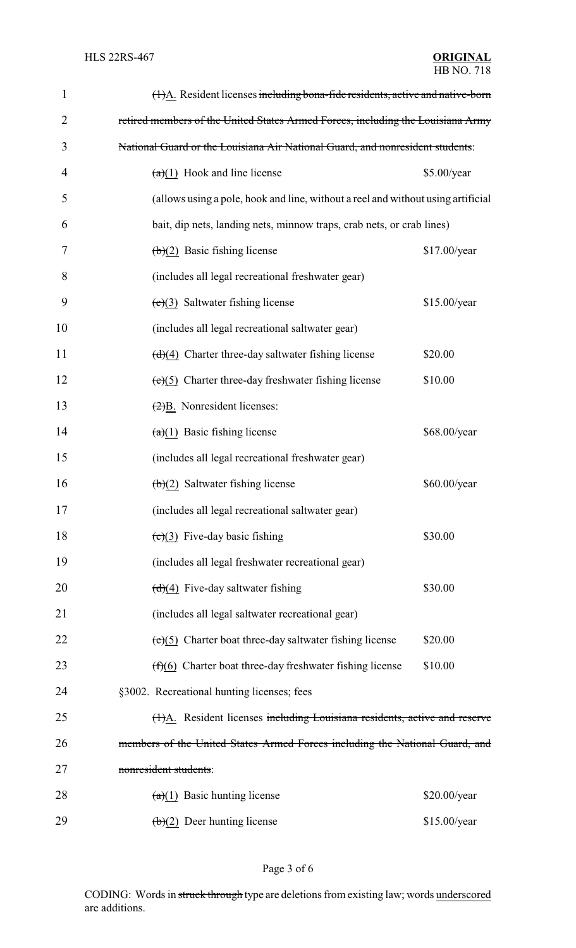| $\mathbf{1}$   | (1)A. Resident licenses including bona-fide residents, active and native-born    |              |  |
|----------------|----------------------------------------------------------------------------------|--------------|--|
| $\overline{2}$ | retired members of the United States Armed Forces, including the Louisiana Army  |              |  |
| 3              | National Guard or the Louisiana Air National Guard, and nonresident students:    |              |  |
| 4              | $(a)(1)$ Hook and line license                                                   | \$5.00/year  |  |
| 5              | (allows using a pole, hook and line, without a reel and without using artificial |              |  |
| 6              | bait, dip nets, landing nets, minnow traps, crab nets, or crab lines)            |              |  |
| 7              | $(b)(2)$ Basic fishing license                                                   | \$17.00/year |  |
| 8              | (includes all legal recreational freshwater gear)                                |              |  |
| 9              | $(e)(3)$ Saltwater fishing license                                               | \$15.00/year |  |
| 10             | (includes all legal recreational saltwater gear)                                 |              |  |
| 11             | $\left(\frac{d}{d}\right)$ Charter three-day saltwater fishing license           | \$20.00      |  |
| 12             | $(e)(5)$ Charter three-day freshwater fishing license                            | \$10.00      |  |
| 13             | $\left(\frac{2}{B}\right)$ . Nonresident licenses:                               |              |  |
| 14             | $(a)(1)$ Basic fishing license                                                   | \$68.00/year |  |
| 15             | (includes all legal recreational freshwater gear)                                |              |  |
| 16             | $(b)(2)$ Saltwater fishing license                                               | \$60.00/year |  |
| 17             | (includes all legal recreational saltwater gear)                                 |              |  |
| 18             | $\left(\frac{c}{c}\right)$ Five-day basic fishing                                | \$30.00      |  |
| 19             | (includes all legal freshwater recreational gear)                                |              |  |
| 20             | $(d)(4)$ Five-day saltwater fishing                                              | \$30.00      |  |
| 21             | (includes all legal saltwater recreational gear)                                 |              |  |
| 22             | $(e)(5)$ Charter boat three-day saltwater fishing license                        | \$20.00      |  |
| 23             | $(f)(6)$ Charter boat three-day freshwater fishing license                       | \$10.00      |  |
| 24             | §3002. Recreational hunting licenses; fees                                       |              |  |
| 25             | (H)A. Resident licenses including Louisiana residents, active and reserve        |              |  |
| 26             | members of the United States Armed Forces including the National Guard, and      |              |  |
| 27             | nonresident students:                                                            |              |  |
| 28             | $\left(\frac{a}{1}\right)$ Basic hunting license                                 | \$20.00/year |  |
| 29             | $\left(\frac{b}{c}\right)$ Deer hunting license                                  | \$15.00/year |  |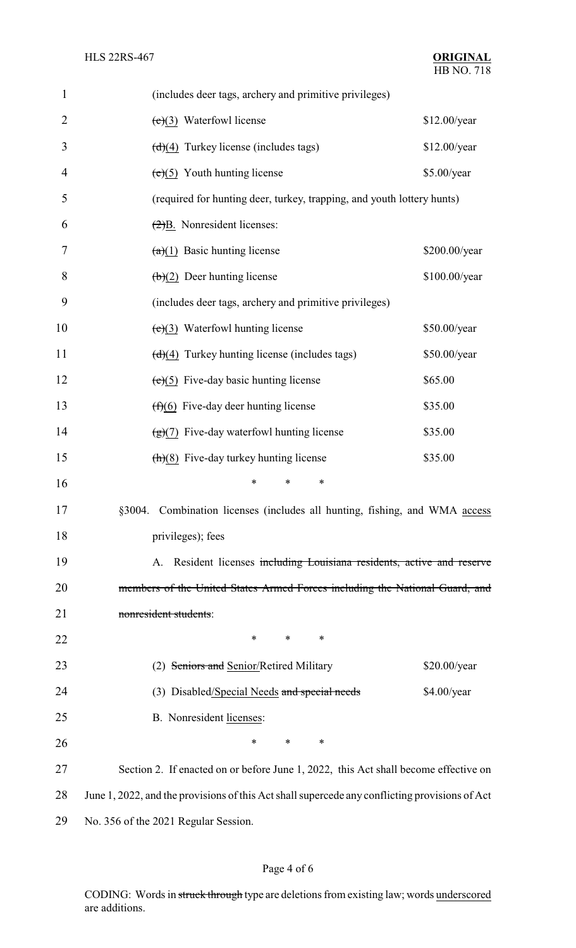| $\mathbf{1}$   | (includes deer tags, archery and primitive privileges)                                         |               |
|----------------|------------------------------------------------------------------------------------------------|---------------|
| $\overline{2}$ | $(e)(3)$ Waterfowl license                                                                     | \$12.00/year  |
| 3              | $\left(\frac{d}{4}\right)$ Turkey license (includes tags)                                      | \$12.00/year  |
| 4              | $(e)(5)$ Youth hunting license                                                                 | \$5.00/year   |
| 5              | (required for hunting deer, turkey, trapping, and youth lottery hunts)                         |               |
| 6              | $\left(\frac{2}{2}\right)$ B. Nonresident licenses:                                            |               |
| 7              | $(a)(1)$ Basic hunting license                                                                 | \$200.00/year |
| 8              | $(b)(2)$ Deer hunting license                                                                  | \$100.00/year |
| 9              | (includes deer tags, archery and primitive privileges)                                         |               |
| 10             | $(e)(3)$ Waterfowl hunting license                                                             | \$50.00/year  |
| 11             | $(d)(4)$ Turkey hunting license (includes tags)                                                | \$50.00/year  |
| 12             | $(e)(5)$ Five-day basic hunting license                                                        | \$65.00       |
| 13             | $(f)(6)$ Five-day deer hunting license                                                         | \$35.00       |
| 14             | $\left(\frac{1}{2}\right)(7)$ Five-day waterfowl hunting license                               | \$35.00       |
| 15             | $\frac{h(8)}{2}$ Five-day turkey hunting license                                               | \$35.00       |
| 16             | *<br>*<br>∗                                                                                    |               |
| 17             | §3004. Combination licenses (includes all hunting, fishing, and WMA access                     |               |
| 18             | privileges); fees                                                                              |               |
| 19             | A. Resident licenses including Louisiana residents, active and reserve                         |               |
| 20             | members of the United States Armed Forces including the National Guard, and                    |               |
| 21             | nonresident students:                                                                          |               |
| 22             | ∗<br>∗<br>$\ast$                                                                               |               |
| 23             | (2) Seniors and Senior/Retired Military                                                        | \$20.00/year  |
| 24             | (3) Disabled/Special Needs and special needs                                                   | \$4.00/year   |
| 25             | B. Nonresident licenses:                                                                       |               |
| 26             | *<br>$\ast$<br>∗                                                                               |               |
| 27             | Section 2. If enacted on or before June 1, 2022, this Act shall become effective on            |               |
| 28             | June 1, 2022, and the provisions of this Act shall supercede any conflicting provisions of Act |               |
| 29             | No. 356 of the 2021 Regular Session.                                                           |               |

# Page 4 of 6

CODING: Words in struck through type are deletions from existing law; words underscored are additions.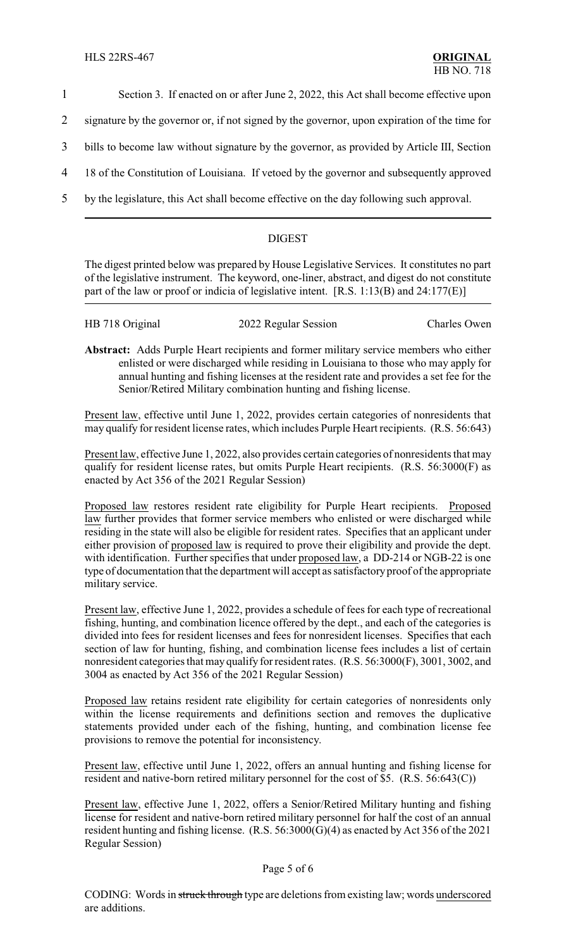- 1 Section 3. If enacted on or after June 2, 2022, this Act shall become effective upon
- 2 signature by the governor or, if not signed by the governor, upon expiration of the time for
- 3 bills to become law without signature by the governor, as provided by Article III, Section
- 4 18 of the Constitution of Louisiana. If vetoed by the governor and subsequently approved
- 5 by the legislature, this Act shall become effective on the day following such approval.

## DIGEST

The digest printed below was prepared by House Legislative Services. It constitutes no part of the legislative instrument. The keyword, one-liner, abstract, and digest do not constitute part of the law or proof or indicia of legislative intent. [R.S. 1:13(B) and 24:177(E)]

| HB 718 Original | 2022 Regular Session | <b>Charles Owen</b> |
|-----------------|----------------------|---------------------|
|                 |                      |                     |

**Abstract:** Adds Purple Heart recipients and former military service members who either enlisted or were discharged while residing in Louisiana to those who may apply for annual hunting and fishing licenses at the resident rate and provides a set fee for the Senior/Retired Military combination hunting and fishing license.

Present law, effective until June 1, 2022, provides certain categories of nonresidents that may qualify for resident license rates, which includes Purple Heart recipients. (R.S. 56:643)

Present law, effective June 1, 2022, also provides certain categories of nonresidents that may qualify for resident license rates, but omits Purple Heart recipients. (R.S. 56:3000(F) as enacted by Act 356 of the 2021 Regular Session)

Proposed law restores resident rate eligibility for Purple Heart recipients. Proposed law further provides that former service members who enlisted or were discharged while residing in the state will also be eligible for resident rates. Specifies that an applicant under either provision of proposed law is required to prove their eligibility and provide the dept. with identification. Further specifies that under proposed law, a DD-214 or NGB-22 is one type of documentation that the department will accept as satisfactoryproof of the appropriate military service.

Present law, effective June 1, 2022, provides a schedule of fees for each type of recreational fishing, hunting, and combination licence offered by the dept., and each of the categories is divided into fees for resident licenses and fees for nonresident licenses. Specifies that each section of law for hunting, fishing, and combination license fees includes a list of certain nonresident categories that may qualify for resident rates. (R.S. 56:3000(F), 3001, 3002, and 3004 as enacted by Act 356 of the 2021 Regular Session)

Proposed law retains resident rate eligibility for certain categories of nonresidents only within the license requirements and definitions section and removes the duplicative statements provided under each of the fishing, hunting, and combination license fee provisions to remove the potential for inconsistency.

Present law, effective until June 1, 2022, offers an annual hunting and fishing license for resident and native-born retired military personnel for the cost of \$5. (R.S. 56:643(C))

Present law, effective June 1, 2022, offers a Senior/Retired Military hunting and fishing license for resident and native-born retired military personnel for half the cost of an annual resident hunting and fishing license. (R.S. 56:3000(G)(4) as enacted by Act 356 of the 2021 Regular Session)

### Page 5 of 6